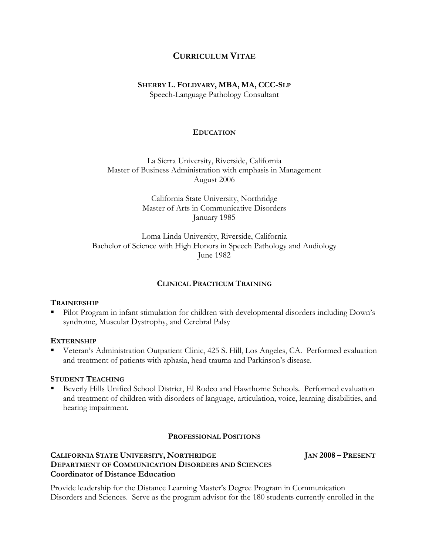# **CURRICULUM VITAE**

# **SHERRY L. FOLDVARY, MBA, MA, CCC-SLP**

Speech-Language Pathology Consultant

### **EDUCATION**

La Sierra University, Riverside, California Master of Business Administration with emphasis in Management August 2006

> California State University, Northridge Master of Arts in Communicative Disorders January 1985

Loma Linda University, Riverside, California Bachelor of Science with High Honors in Speech Pathology and Audiology June 1982

## **CLINICAL PRACTICUM TRAINING**

## **TRAINEESHIP**

 Pilot Program in infant stimulation for children with developmental disorders including Down's syndrome, Muscular Dystrophy, and Cerebral Palsy

## **EXTERNSHIP**

 Veteran's Administration Outpatient Clinic, 425 S. Hill, Los Angeles, CA. Performed evaluation and treatment of patients with aphasia, head trauma and Parkinson's disease.

### **STUDENT TEACHING**

 Beverly Hills Unified School District, El Rodeo and Hawthorne Schools. Performed evaluation and treatment of children with disorders of language, articulation, voice, learning disabilities, and hearing impairment.

## **PROFESSIONAL POSITIONS**

# **CALIFORNIA STATE UNIVERSITY, NORTHRIDGE JAN 2008 – PRESENT DEPARTMENT OF COMMUNICATION DISORDERS AND SCIENCES Coordinator of Distance Education**

Provide leadership for the Distance Learning Master's Degree Program in Communication Disorders and Sciences. Serve as the program advisor for the 180 students currently enrolled in the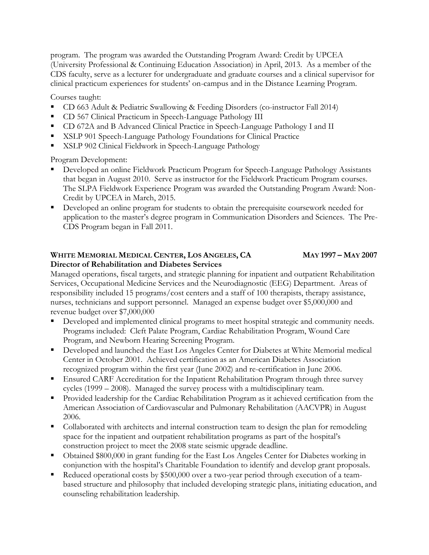program. The program was awarded the Outstanding Program Award: Credit by UPCEA (University Professional & Continuing Education Association) in April, 2013. As a member of the CDS faculty, serve as a lecturer for undergraduate and graduate courses and a clinical supervisor for clinical practicum experiences for students' on-campus and in the Distance Learning Program.

Courses taught:

- CD 663 Adult & Pediatric Swallowing & Feeding Disorders (co-instructor Fall 2014)
- CD 567 Clinical Practicum in Speech-Language Pathology III
- CD 672A and B Advanced Clinical Practice in Speech-Language Pathology I and II
- **XSLP 901 Speech-Language Pathology Foundations for Clinical Practice**
- **XSLP 902 Clinical Fieldwork in Speech-Language Pathology**

Program Development:

- Developed an online Fieldwork Practicum Program for Speech-Language Pathology Assistants that began in August 2010. Serve as instructor for the Fieldwork Practicum Program courses. The SLPA Fieldwork Experience Program was awarded the Outstanding Program Award: Non-Credit by UPCEA in March, 2015.
- Developed an online program for students to obtain the prerequisite coursework needed for application to the master's degree program in Communication Disorders and Sciences. The Pre-CDS Program began in Fall 2011.

# **WHITE MEMORIAL MEDICAL CENTER, LOS ANGELES, CA MAY 1997 – MAY 2007 Director of Rehabilitation and Diabetes Services**

Managed operations, fiscal targets, and strategic planning for inpatient and outpatient Rehabilitation Services, Occupational Medicine Services and the Neurodiagnostic (EEG) Department. Areas of responsibility included 15 programs/cost centers and a staff of 100 therapists, therapy assistance, nurses, technicians and support personnel. Managed an expense budget over \$5,000,000 and revenue budget over \$7,000,000

- Developed and implemented clinical programs to meet hospital strategic and community needs. Programs included: Cleft Palate Program, Cardiac Rehabilitation Program, Wound Care Program, and Newborn Hearing Screening Program.
- Developed and launched the East Los Angeles Center for Diabetes at White Memorial medical Center in October 2001. Achieved certification as an American Diabetes Association recognized program within the first year (June 2002) and re-certification in June 2006.
- Ensured CARF Accreditation for the Inpatient Rehabilitation Program through three survey cycles (1999 – 2008). Managed the survey process with a multidisciplinary team.
- Provided leadership for the Cardiac Rehabilitation Program as it achieved certification from the American Association of Cardiovascular and Pulmonary Rehabilitation (AACVPR) in August 2006.
- Collaborated with architects and internal construction team to design the plan for remodeling space for the inpatient and outpatient rehabilitation programs as part of the hospital's construction project to meet the 2008 state seismic upgrade deadline.
- Obtained \$800,000 in grant funding for the East Los Angeles Center for Diabetes working in conjunction with the hospital's Charitable Foundation to identify and develop grant proposals.
- Reduced operational costs by \$500,000 over a two-year period through execution of a teambased structure and philosophy that included developing strategic plans, initiating education, and counseling rehabilitation leadership.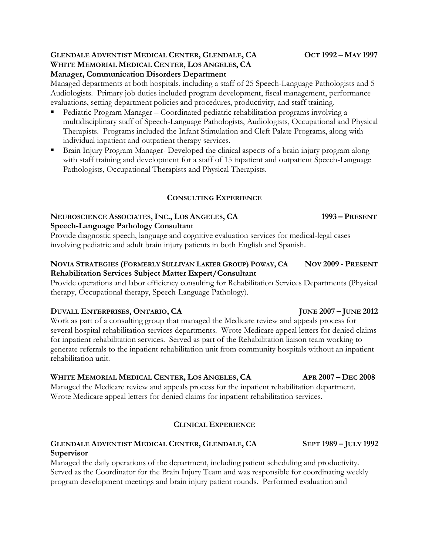# **GLENDALE ADVENTIST MEDICAL CENTER, GLENDALE, CA OCT 1992 – MAY 1997 WHITE MEMORIAL MEDICAL CENTER, LOS ANGELES, CA Manager, Communication Disorders Department**

Managed departments at both hospitals, including a staff of 25 Speech-Language Pathologists and 5 Audiologists. Primary job duties included program development, fiscal management, performance evaluations, setting department policies and procedures, productivity, and staff training.

- Pediatric Program Manager Coordinated pediatric rehabilitation programs involving a multidisciplinary staff of Speech-Language Pathologists, Audiologists, Occupational and Physical Therapists. Programs included the Infant Stimulation and Cleft Palate Programs, along with individual inpatient and outpatient therapy services.
- Brain Injury Program Manager- Developed the clinical aspects of a brain injury program along with staff training and development for a staff of 15 inpatient and outpatient Speech-Language Pathologists, Occupational Therapists and Physical Therapists.

# **CONSULTING EXPERIENCE**

# **NEUROSCIENCE ASSOCIATES, INC., LOS ANGELES, CA 1993 – PRESENT Speech-Language Pathology Consultant**

Provide diagnostic speech, language and cognitive evaluation services for medical-legal cases involving pediatric and adult brain injury patients in both English and Spanish.

# NOVIA STRATEGIES (FORMERLY SULLIVAN LAKIER GROUP) POWAY, CA NOV 2009 - PRESENT **Rehabilitation Services Subject Matter Expert/Consultant**

Provide operations and labor efficiency consulting for Rehabilitation Services Departments (Physical therapy, Occupational therapy, Speech-Language Pathology).

# **DUVALL ENTERPRISES, ONTARIO, CA JUNE 2007 – JUNE 2012**

Work as part of a consulting group that managed the Medicare review and appeals process for several hospital rehabilitation services departments. Wrote Medicare appeal letters for denied claims for inpatient rehabilitation services. Served as part of the Rehabilitation liaison team working to generate referrals to the inpatient rehabilitation unit from community hospitals without an inpatient rehabilitation unit.

# **WHITE MEMORIAL MEDICAL CENTER, LOS ANGELES, CA APR 2007 – DEC 2008**

Managed the Medicare review and appeals process for the inpatient rehabilitation department. Wrote Medicare appeal letters for denied claims for inpatient rehabilitation services.

# **CLINICAL EXPERIENCE**

# **GLENDALE ADVENTIST MEDICAL CENTER, GLENDALE, CA SEPT 1989 – JULY 1992 Supervisor**

Managed the daily operations of the department, including patient scheduling and productivity. Served as the Coordinator for the Brain Injury Team and was responsible for coordinating weekly program development meetings and brain injury patient rounds. Performed evaluation and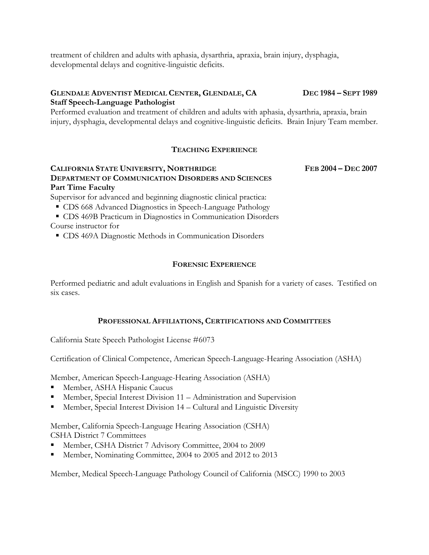treatment of children and adults with aphasia, dysarthria, apraxia, brain injury, dysphagia, developmental delays and cognitive-linguistic deficits.

## **GLENDALE ADVENTIST MEDICAL CENTER, GLENDALE, CA DEC 1984 – SEPT 1989 Staff Speech-Language Pathologist**

Performed evaluation and treatment of children and adults with aphasia, dysarthria, apraxia, brain injury, dysphagia, developmental delays and cognitive-linguistic deficits. Brain Injury Team member.

# **TEACHING EXPERIENCE**

# **CALIFORNIA STATE UNIVERSITY, NORTHRIDGE FEB 2004 – DEC 2007 DEPARTMENT OF COMMUNICATION DISORDERS AND SCIENCES Part Time Faculty**

Supervisor for advanced and beginning diagnostic clinical practica:

- CDS 668 Advanced Diagnostics in Speech-Language Pathology
- CDS 469B Practicum in Diagnostics in Communication Disorders Course instructor for
	- CDS 469A Diagnostic Methods in Communication Disorders

# **FORENSIC EXPERIENCE**

Performed pediatric and adult evaluations in English and Spanish for a variety of cases. Testified on six cases.

## **PROFESSIONAL AFFILIATIONS, CERTIFICATIONS AND COMMITTEES**

California State Speech Pathologist License #6073

Certification of Clinical Competence, American Speech-Language-Hearing Association (ASHA)

Member, American Speech-Language-Hearing Association (ASHA)

- Member, ASHA Hispanic Caucus
- Member, Special Interest Division 11 Administration and Supervision
- Member, Special Interest Division 14 Cultural and Linguistic Diversity

Member, California Speech-Language Hearing Association (CSHA) CSHA District 7 Committees

- Member, CSHA District 7 Advisory Committee, 2004 to 2009
- Member, Nominating Committee, 2004 to 2005 and 2012 to 2013

Member, Medical Speech-Language Pathology Council of California (MSCC) 1990 to 2003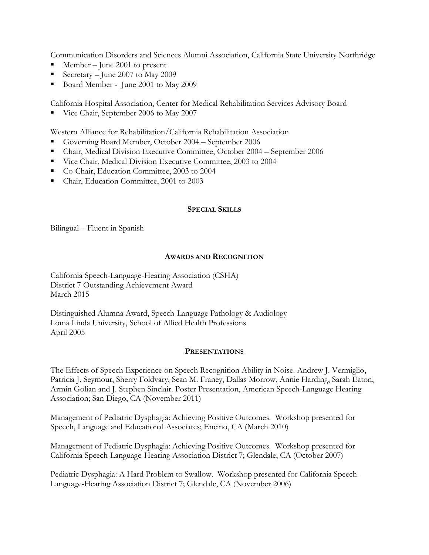Communication Disorders and Sciences Alumni Association, California State University Northridge

- Member June 2001 to present
- Secretary June 2007 to May 2009
- Board Member June 2001 to May 2009

California Hospital Association, Center for Medical Rehabilitation Services Advisory Board

Vice Chair, September 2006 to May 2007

Western Alliance for Rehabilitation/California Rehabilitation Association

- Governing Board Member, October 2004 September 2006
- Chair, Medical Division Executive Committee, October 2004 September 2006
- Vice Chair, Medical Division Executive Committee, 2003 to 2004
- Co-Chair, Education Committee, 2003 to 2004
- Chair, Education Committee, 2001 to 2003

### **SPECIAL SKILLS**

Bilingual – Fluent in Spanish

## **AWARDS AND RECOGNITION**

California Speech-Language-Hearing Association (CSHA) District 7 Outstanding Achievement Award March 2015

Distinguished Alumna Award, Speech-Language Pathology & Audiology Loma Linda University, School of Allied Health Professions April 2005

### **PRESENTATIONS**

The Effects of Speech Experience on Speech Recognition Ability in Noise. Andrew J. Vermiglio, Patricia J. Seymour, Sherry Foldvary, Sean M. Franey, Dallas Morrow, Annie Harding, Sarah Eaton, Armin Golian and J. Stephen Sinclair. Poster Presentation, American Speech-Language Hearing Association; San Diego, CA (November 2011)

Management of Pediatric Dysphagia: Achieving Positive Outcomes. Workshop presented for Speech, Language and Educational Associates; Encino, CA (March 2010)

Management of Pediatric Dysphagia: Achieving Positive Outcomes. Workshop presented for California Speech-Language-Hearing Association District 7; Glendale, CA (October 2007)

Pediatric Dysphagia: A Hard Problem to Swallow. Workshop presented for California Speech-Language-Hearing Association District 7; Glendale, CA (November 2006)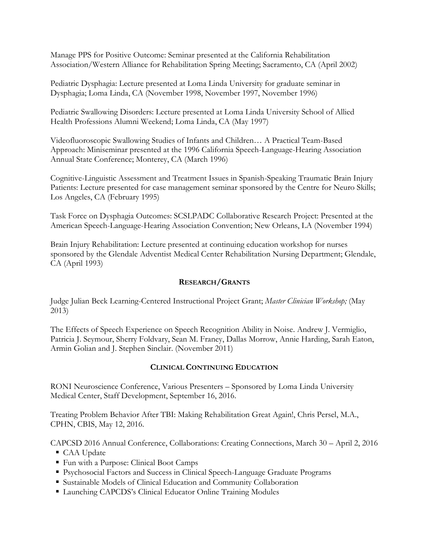Manage PPS for Positive Outcome: Seminar presented at the California Rehabilitation Association/Western Alliance for Rehabilitation Spring Meeting; Sacramento, CA (April 2002)

Pediatric Dysphagia: Lecture presented at Loma Linda University for graduate seminar in Dysphagia; Loma Linda, CA (November 1998, November 1997, November 1996)

Pediatric Swallowing Disorders: Lecture presented at Loma Linda University School of Allied Health Professions Alumni Weekend; Loma Linda, CA (May 1997)

Videofluoroscopic Swallowing Studies of Infants and Children… A Practical Team-Based Approach: Miniseminar presented at the 1996 California Speech-Language-Hearing Association Annual State Conference; Monterey, CA (March 1996)

Cognitive-Linguistic Assessment and Treatment Issues in Spanish-Speaking Traumatic Brain Injury Patients: Lecture presented for case management seminar sponsored by the Centre for Neuro Skills; Los Angeles, CA (February 1995)

Task Force on Dysphagia Outcomes: SCSLPADC Collaborative Research Project: Presented at the American Speech-Language-Hearing Association Convention; New Orleans, LA (November 1994)

Brain Injury Rehabilitation: Lecture presented at continuing education workshop for nurses sponsored by the Glendale Adventist Medical Center Rehabilitation Nursing Department; Glendale, CA (April 1993)

## **RESEARCH/GRANTS**

Judge Julian Beck Learning-Centered Instructional Project Grant; *Master Clinician Workshop;* (May 2013)

The Effects of Speech Experience on Speech Recognition Ability in Noise. Andrew J. Vermiglio, Patricia J. Seymour, Sherry Foldvary, Sean M. Franey, Dallas Morrow, Annie Harding, Sarah Eaton, Armin Golian and J. Stephen Sinclair. (November 2011)

## **CLINICAL CONTINUING EDUCATION**

RONI Neuroscience Conference, Various Presenters – Sponsored by Loma Linda University Medical Center, Staff Development, September 16, 2016.

Treating Problem Behavior After TBI: Making Rehabilitation Great Again!, Chris Persel, M.A., CPHN, CBIS, May 12, 2016.

CAPCSD 2016 Annual Conference, Collaborations: Creating Connections, March 30 – April 2, 2016

- CAA Update
- Fun with a Purpose: Clinical Boot Camps
- Psychosocial Factors and Success in Clinical Speech-Language Graduate Programs
- Sustainable Models of Clinical Education and Community Collaboration
- Launching CAPCDS's Clinical Educator Online Training Modules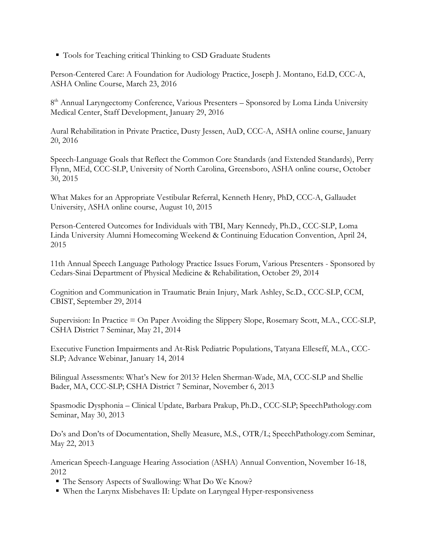■ Tools for Teaching critical Thinking to CSD Graduate Students

Person-Centered Care: A Foundation for Audiology Practice, Joseph J. Montano, Ed.D, CCC-A, ASHA Online Course, March 23, 2016

8<sup>th</sup> Annual Laryngectomy Conference, Various Presenters - Sponsored by Loma Linda University Medical Center, Staff Development, January 29, 2016

Aural Rehabilitation in Private Practice, Dusty Jessen, AuD, CCC-A, ASHA online course, January 20, 2016

Speech-Language Goals that Reflect the Common Core Standards (and Extended Standards), Perry Flynn, MEd, CCC-SLP, University of North Carolina, Greensboro, ASHA online course, October 30, 2015

What Makes for an Appropriate Vestibular Referral, Kenneth Henry, PhD, CCC-A, Gallaudet University, ASHA online course, August 10, 2015

Person-Centered Outcomes for Individuals with TBI, Mary Kennedy, Ph.D., CCC-SLP, Loma Linda University Alumni Homecoming Weekend & Continuing Education Convention, April 24, 2015

11th Annual Speech Language Pathology Practice Issues Forum, Various Presenters - Sponsored by Cedars-Sinai Department of Physical Medicine & Rehabilitation, October 29, 2014

Cognition and Communication in Traumatic Brain Injury, Mark Ashley, Sc.D., CCC-SLP, CCM, CBIST, September 29, 2014

Supervision: In Practice = On Paper Avoiding the Slippery Slope, Rosemary Scott, M.A., CCC-SLP, CSHA District 7 Seminar, May 21, 2014

Executive Function Impairments and At-Risk Pediatric Populations, Tatyana Elleseff, M.A., CCC-SLP; Advance Webinar, January 14, 2014

Bilingual Assessments: What's New for 2013? Helen Sherman-Wade, MA, CCC-SLP and Shellie Bader, MA, CCC-SLP; CSHA District 7 Seminar, November 6, 2013

Spasmodic Dysphonia – Clinical Update, Barbara Prakup, Ph.D., CCC-SLP; SpeechPathology.com Seminar, May 30, 2013

Do's and Don'ts of Documentation, Shelly Measure, M.S., OTR/L; SpeechPathology.com Seminar, May 22, 2013

American Speech-Language Hearing Association (ASHA) Annual Convention, November 16-18, 2012

- The Sensory Aspects of Swallowing: What Do We Know?
- When the Larynx Misbehaves II: Update on Laryngeal Hyper-responsiveness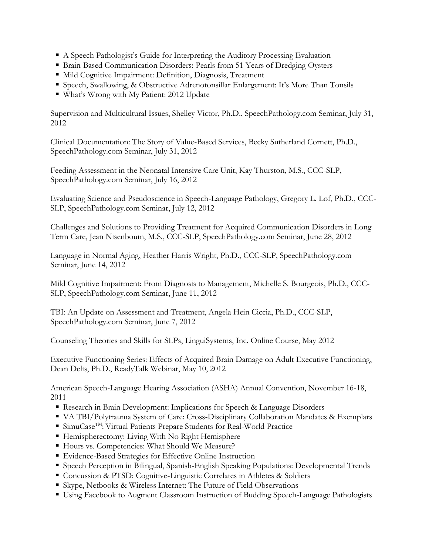- A Speech Pathologist's Guide for Interpreting the Auditory Processing Evaluation
- Brain-Based Communication Disorders: Pearls from 51 Years of Dredging Oysters
- Mild Cognitive Impairment: Definition, Diagnosis, Treatment
- Speech, Swallowing, & Obstructive Adrenotonsillar Enlargement: It's More Than Tonsils
- What's Wrong with My Patient: 2012 Update

Supervision and Multicultural Issues, Shelley Victor, Ph.D., SpeechPathology.com Seminar, July 31, 2012

Clinical Documentation: The Story of Value-Based Services, Becky Sutherland Cornett, Ph.D., SpeechPathology.com Seminar, July 31, 2012

Feeding Assessment in the Neonatal Intensive Care Unit, Kay Thurston, M.S., CCC-SLP, SpeechPathology.com Seminar, July 16, 2012

Evaluating Science and Pseudoscience in Speech-Language Pathology, Gregory L. Lof, Ph.D., CCC-SLP, SpeechPathology.com Seminar, July 12, 2012

Challenges and Solutions to Providing Treatment for Acquired Communication Disorders in Long Term Care, Jean Nisenboum, M.S., CCC-SLP, SpeechPathology.com Seminar, June 28, 2012

Language in Normal Aging, Heather Harris Wright, Ph.D., CCC-SLP, SpeechPathology.com Seminar, June 14, 2012

Mild Cognitive Impairment: From Diagnosis to Management, Michelle S. Bourgeois, Ph.D., CCC-SLP, SpeechPathology.com Seminar, June 11, 2012

TBI: An Update on Assessment and Treatment, Angela Hein Ciccia, Ph.D., CCC-SLP, SpeechPathology.com Seminar, June 7, 2012

Counseling Theories and Skills for SLPs, LinguiSystems, Inc. Online Course, May 2012

Executive Functioning Series: Effects of Acquired Brain Damage on Adult Executive Functioning, Dean Delis, Ph.D., ReadyTalk Webinar, May 10, 2012

American Speech-Language Hearing Association (ASHA) Annual Convention, November 16-18, 2011

- Research in Brain Development: Implications for Speech & Language Disorders
- VA TBI/Polytrauma System of Care: Cross-Disciplinary Collaboration Mandates & Exemplars
- SimuCase<sup>TM</sup>: Virtual Patients Prepare Students for Real-World Practice
- Hemispherectomy: Living With No Right Hemisphere
- Hours vs. Competencies: What Should We Measure?
- Evidence-Based Strategies for Effective Online Instruction
- Speech Perception in Bilingual, Spanish-English Speaking Populations: Developmental Trends
- Concussion & PTSD: Cognitive-Linguistic Correlates in Athletes & Soldiers
- Skype, Netbooks & Wireless Internet: The Future of Field Observations
- Using Facebook to Augment Classroom Instruction of Budding Speech-Language Pathologists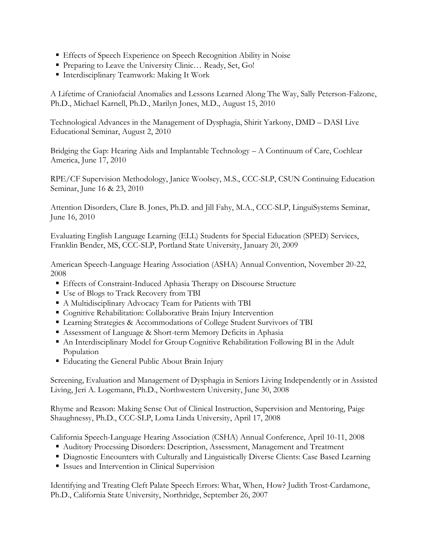- Effects of Speech Experience on Speech Recognition Ability in Noise
- Preparing to Leave the University Clinic... Ready, Set, Go!
- Interdisciplinary Teamwork: Making It Work

A Lifetime of Craniofacial Anomalies and Lessons Learned Along The Way, Sally Peterson-Falzone, Ph.D., Michael Karnell, Ph.D., Marilyn Jones, M.D., August 15, 2010

Technological Advances in the Management of Dysphagia, Shirit Yarkony, DMD – DASI Live Educational Seminar, August 2, 2010

Bridging the Gap: Hearing Aids and Implantable Technology – A Continuum of Care, Cochlear America, June 17, 2010

RPE/CF Supervision Methodology, Janice Woolsey, M.S., CCC-SLP, CSUN Continuing Education Seminar, June 16 & 23, 2010

Attention Disorders, Clare B. Jones, Ph.D. and Jill Fahy, M.A., CCC-SLP, LinguiSystems Seminar, June 16, 2010

Evaluating English Language Learning (ELL) Students for Special Education (SPED) Services, Franklin Bender, MS, CCC-SLP, Portland State University, January 20, 2009

American Speech-Language Hearing Association (ASHA) Annual Convention, November 20-22, 2008

- Effects of Constraint-Induced Aphasia Therapy on Discourse Structure
- Use of Blogs to Track Recovery from TBI
- A Multidisciplinary Advocacy Team for Patients with TBI
- Cognitive Rehabilitation: Collaborative Brain Injury Intervention
- Learning Strategies & Accommodations of College Student Survivors of TBI
- Assessment of Language & Short-term Memory Deficits in Aphasia
- An Interdisciplinary Model for Group Cognitive Rehabilitation Following BI in the Adult Population
- Educating the General Public About Brain Injury

Screening, Evaluation and Management of Dysphagia in Seniors Living Independently or in Assisted Living, Jeri A. Logemann, Ph.D., Northwestern University, June 30, 2008

Rhyme and Reason: Making Sense Out of Clinical Instruction, Supervision and Mentoring, Paige Shaughnessy, Ph.D., CCC-SLP, Loma Linda University, April 17, 2008

California Speech-Language Hearing Association (CSHA) Annual Conference, April 10-11, 2008

- Auditory Processing Disorders: Description, Assessment, Management and Treatment
- Diagnostic Encounters with Culturally and Linguistically Diverse Clients: Case Based Learning
- Issues and Intervention in Clinical Supervision

Identifying and Treating Cleft Palate Speech Errors: What, When, How? Judith Trost-Cardamone, Ph.D., California State University, Northridge, September 26, 2007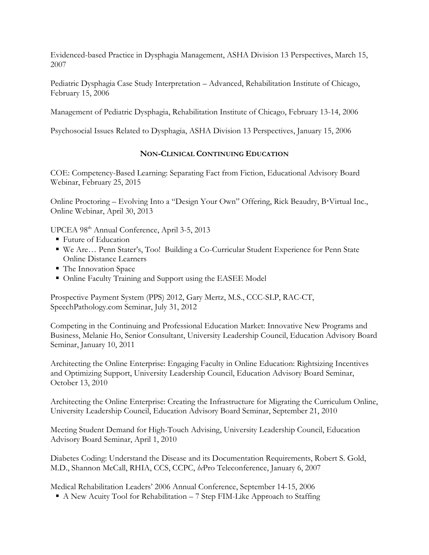Evidenced-based Practice in Dysphagia Management, ASHA Division 13 Perspectives, March 15, 2007

Pediatric Dysphagia Case Study Interpretation – Advanced, Rehabilitation Institute of Chicago, February 15, 2006

Management of Pediatric Dysphagia, Rehabilitation Institute of Chicago, February 13-14, 2006

Psychosocial Issues Related to Dysphagia, ASHA Division 13 Perspectives, January 15, 2006

## **NON-CLINICAL CONTINUING EDUCATION**

COE: Competency-Based Learning: Separating Fact from Fiction, Educational Advisory Board Webinar, February 25, 2015

Online Proctoring – Evolving Into a "Design Your Own" Offering, Rick Beaudry, B Virtual Inc., Online Webinar, April 30, 2013

UPCEA 98th Annual Conference, April 3-5, 2013

- Future of Education
- We Are… Penn Stater's, Too! Building a Co-Curricular Student Experience for Penn State Online Distance Learners
- The Innovation Space
- Online Faculty Training and Support using the EASEE Model

Prospective Payment System (PPS) 2012, Gary Mertz, M.S., CCC-SLP, RAC-CT, SpeechPathology.com Seminar, July 31, 2012

Competing in the Continuing and Professional Education Market: Innovative New Programs and Business, Melanie Ho, Senior Consultant, University Leadership Council, Education Advisory Board Seminar, January 10, 2011

Architecting the Online Enterprise: Engaging Faculty in Online Education: Rightsizing Incentives and Optimizing Support, University Leadership Council, Education Advisory Board Seminar, October 13, 2010

Architecting the Online Enterprise: Creating the Infrastructure for Migrating the Curriculum Online, University Leadership Council, Education Advisory Board Seminar, September 21, 2010

Meeting Student Demand for High-Touch Advising, University Leadership Council, Education Advisory Board Seminar, April 1, 2010

Diabetes Coding: Understand the Disease and its Documentation Requirements, Robert S. Gold, M.D., Shannon McCall, RHIA, CCS, CCPC, *hc*Pro Teleconference, January 6, 2007

Medical Rehabilitation Leaders' 2006 Annual Conference, September 14-15, 2006

A New Acuity Tool for Rehabilitation – 7 Step FIM-Like Approach to Staffing